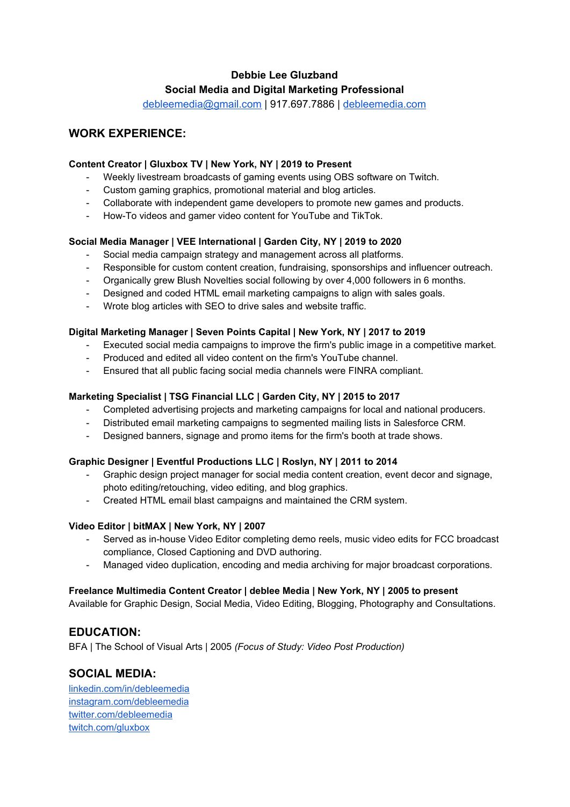# **Debbie Lee Gluzband Social Media and Digital Marketing Professional**

[debleemedia@gmail.com](mailto:debleemedia@gmail.com) | 917.697.7886 | [debleemedia.com](http://debleemedia.com/)

# **WORK EXPERIENCE:**

### **Content Creator | Gluxbox TV | New York, NY | 2019 to Present**

- Weekly livestream broadcasts of gaming events using OBS software on Twitch.
- Custom gaming graphics, promotional material and blog articles.
- Collaborate with independent game developers to promote new games and products.
- How-To videos and gamer video content for YouTube and TikTok.

### **Social Media Manager | VEE International | Garden City, NY | 2019 to 2020**

- Social media campaign strategy and management across all platforms.
- Responsible for custom content creation, fundraising, sponsorships and influencer outreach.
- Organically grew Blush Novelties social following by over 4,000 followers in 6 months.
- Designed and coded HTML email marketing campaigns to align with sales goals.
- Wrote blog articles with SEO to drive sales and website traffic.

#### **Digital Marketing Manager | Seven Points Capital | New York, NY | 2017 to 2019**

- Executed social media campaigns to improve the firm's public image in a competitive market.
- Produced and edited all video content on the firm's YouTube channel.
- Ensured that all public facing social media channels were FINRA compliant.

### **Marketing Specialist | TSG Financial LLC | Garden City, NY | 2015 to 2017**

- Completed advertising projects and marketing campaigns for local and national producers.
- Distributed email marketing campaigns to segmented mailing lists in Salesforce CRM.
- Designed banners, signage and promo items for the firm's booth at trade shows.

#### **Graphic Designer | Eventful Productions LLC | Roslyn, NY | 2011 to 2014**

- Graphic design project manager for social media content creation, event decor and signage, photo editing/retouching, video editing, and blog graphics.
- Created HTML email blast campaigns and maintained the CRM system.

#### **Video Editor | bitMAX | New York, NY | 2007**

- Served as in-house Video Editor completing demo reels, music video edits for FCC broadcast compliance, Closed Captioning and DVD authoring.
- Managed video duplication, encoding and media archiving for major broadcast corporations.

#### **Freelance Multimedia Content Creator | deblee Media | New York, NY | 2005 to present**

Available for Graphic Design, Social Media, Video Editing, Blogging, Photography and Consultations.

## **EDUCATION:**

BFA | The School of Visual Arts | 2005 *(Focus of Study: Video Post Production)*

## **SOCIAL MEDIA:**

[linkedin.com/in/debleemedia](https://www.linkedin.com/in/debleemedia/) [instagram.com/debleemedia](http://www.instagram.com/debleemedia) [twitter.com/debleemedia](http://www.twitter.com/debleemedia) [twitch.com/gluxbox](http://www.twitch.com/gluxbox)